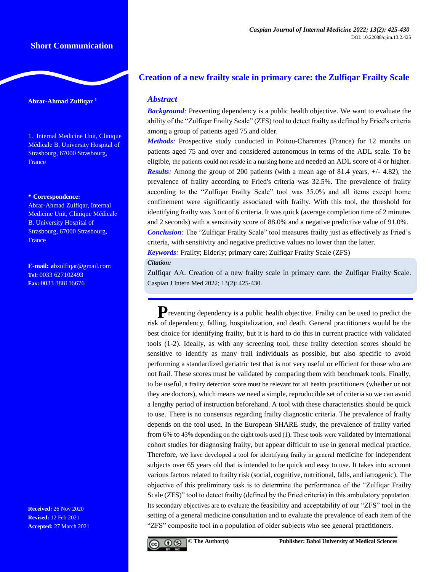# **Short Communication**

### **Abrar-Ahmad Zulfiqar <sup>1</sup>**

1. Internal Medicine Unit, Clinique Médicale B, University Hospital of Strasbourg, 67000 Strasbourg, **France** 

#### **\* Correspondence:**

Abrar-Ahmad Zulfiqar, Internal Medicine Unit, Clinique Médicale B, University Hospital of Strasbourg, 67000 Strasbourg, **France** 

**E-mail: a**[bzulfiqar@gmail.com](mailto:abzulfiqar@gmail.com) **Tel:** 0033 627102493 **Fax:** 0033 388116676

**Received:** 26 Nov 2020 **Revised:** 12 Feb 2021 **Accepted:** 27 March 2021

# **Creation of a new frailty scale in primary care: the Zulfiqar Frailty Scale**

## *Abstract*

**Background**: Preventing dependency is a public health objective. We want to evaluate the ability of the "Zulfiqar Frailty Scale" (ZFS) tool to detect frailty as defined by Fried's criteria among a group of patients aged 75 and older.

*Methods:* Prospective study conducted in Poitou-Charentes (France) for 12 months on patients aged 75 and over and considered autonomous in terms of the ADL scale. To be eligible, the patients could not reside in a nursing home and needed an ADL score of 4 or higher. *Results:* Among the group of 200 patients (with a mean age of 81.4 years, +/- 4.82), the prevalence of frailty according to Fried's criteria was 32.5%. The prevalence of frailty according to the "Zulfiqar Frailty Scale" tool was 35.0% and all items except home confinement were significantly associated with frailty. With this tool, the threshold for identifying frailty was 3 out of 6 criteria. It was quick (average completion time of 2 minutes and 2 seconds) with a sensitivity score of 88.0% and a negative predictive value of 91.0%. *Conclusion:* The "Zulfiqar Frailty Scale" tool measures frailty just as effectively as Fried's

criteria, with sensitivity and negative predictive values no lower than the latter.

*Keywords:* Frailty; Elderly; primary care; Zulfiqar Frailty Scale (ZFS)

### *Citation:*

Zulfiqar AA. Creation of a new frailty scale in primary care: the Zulfiqar Frailty **S**cale. Caspian J Intern Med 2022; 13(2): 425-430.

Preventing dependency is a public health objective. Frailty can be used to predict the risk of dependency, falling, hospitalization, and death. General practitioners would be the best choice for identifying frailty, but it is hard to do this in current practice with validated tools (1-2). Ideally, as with any screening tool, these frailty detection scores should be sensitive to identify as many frail individuals as possible, but also specific to avoid performing a standardized geriatric test that is not very useful or efficient for those who are not frail. These scores must be validated by comparing them with benchmark tools. Finally, to be useful, a frailty detection score must be relevant for all health practitioners (whether or not they are doctors), which means we need a simple, reproducible set of criteria so we can avoid a lengthy period of instruction beforehand. A tool with these characteristics should be quick to use. There is no consensus regarding frailty diagnostic criteria. The prevalence of frailty depends on the tool used. In the European SHARE study, the prevalence of frailty varied from 6% to 43% depending on the eight tools used (1). These tools were validated by international cohort studies for diagnosing frailty, but appear difficult to use in general medical practice. Therefore, we have developed a tool for identifying frailty in general medicine for independent subjects over 65 years old that is intended to be quick and easy to use. It takes into account various factors related to frailty risk (social, cognitive, nutritional, falls, and iatrogenic). The objective of this preliminary task is to determine the performance of the "Zulfiqar Frailty Scale (ZFS)" tool to detect frailty (defined by the Fried criteria) in this ambulatory population. Its secondary objectives are to evaluate the feasibility and acceptability of our "ZFS" tool in the setting of a general medicine consultation and to evaluate the prevalence of each item of the "ZFS" composite tool in a population of older subjects who see general practitioners.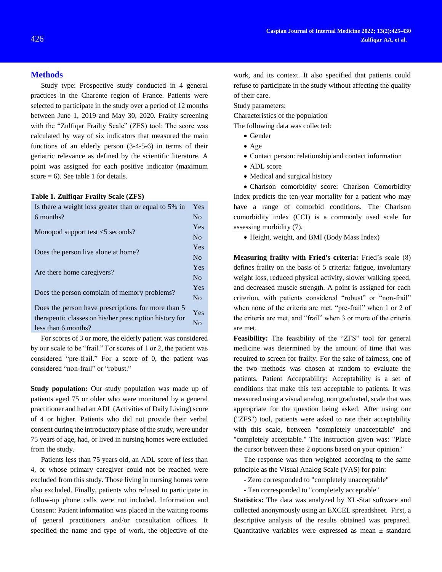### **Methods**

Study type: Prospective study conducted in 4 general practices in the Charente region of France. Patients were selected to participate in the study over a period of 12 months between June 1, 2019 and May 30, 2020. Frailty screening with the "Zulfiqar Frailty Scale" (ZFS) tool: The score was calculated by way of six indicators that measured the main functions of an elderly person (3-4-5-6) in terms of their geriatric relevance as defined by the scientific literature. A point was assigned for each positive indicator (maximum score  $= 6$ ). See table 1 for details.

#### **Table 1. Zulfiqar Frailty Scale (ZFS)**

| Is there a weight loss greater than or equal to 5% in   | Yes            |
|---------------------------------------------------------|----------------|
| 6 months?                                               | N <sub>0</sub> |
|                                                         | Yes            |
| Monopod support test $<$ 5 seconds?                     | N <sub>0</sub> |
|                                                         | Yes            |
| Does the person live alone at home?                     | N <sub>0</sub> |
|                                                         | Yes            |
| Are there home caregivers?                              | N <sub>0</sub> |
|                                                         | Yes            |
| Does the person complain of memory problems?            | N <sub>0</sub> |
| Does the person have prescriptions for more than 5      |                |
| therapeutic classes on his/her prescription history for | Yes            |
| less than 6 months?                                     | No             |
|                                                         |                |

For scores of 3 or more, the elderly patient was considered by our scale to be "frail." For scores of 1 or 2, the patient was considered "pre-frail." For a score of 0, the patient was considered "non-frail" or "robust."

**Study population:** Our study population was made up of patients aged 75 or older who were monitored by a general practitioner and had an ADL (Activities of Daily Living) score of 4 or higher. Patients who did not provide their verbal consent during the introductory phase of the study, were under 75 years of age, had, or lived in nursing homes were excluded from the study.

Patients less than 75 years old, an ADL score of less than 4, or whose primary caregiver could not be reached were excluded from this study. Those living in nursing homes were also excluded. Finally, patients who refused to participate in follow-up phone calls were not included. Information and Consent: Patient information was placed in the waiting rooms of general practitioners and/or consultation offices. It specified the name and type of work, the objective of the

work, and its context. It also specified that patients could refuse to participate in the study without affecting the quality of their care.

Study parameters:

Characteristics of the population

The following data was collected:

- Gender
- Age
- Contact person: relationship and contact information
- ADL score
- Medical and surgical history

 Charlson comorbidity score: Charlson Comorbidity Index predicts the ten-year mortality for a patient who may have a range of comorbid conditions. The Charlson comorbidity index (CCI) is a commonly used scale for assessing morbidity (7).

Height, weight, and BMI (Body Mass Index)

**Measuring frailty with Fried's criteria:** Fried's scale (8) defines frailty on the basis of 5 criteria: fatigue, involuntary weight loss, reduced physical activity, slower walking speed, and decreased muscle strength. A point is assigned for each criterion, with patients considered "robust" or "non-frail" when none of the criteria are met, "pre-frail" when 1 or 2 of the criteria are met, and "frail" when 3 or more of the criteria are met.

**Feasibility:** The feasibility of the "ZFS" tool for general medicine was determined by the amount of time that was required to screen for frailty. For the sake of fairness, one of the two methods was chosen at random to evaluate the patients. Patient Acceptability: Acceptability is a set of conditions that make this test acceptable to patients. It was measured using a visual analog, non graduated, scale that was appropriate for the question being asked. After using our ("ZFS") tool, patients were asked to rate their acceptability with this scale, between "completely unacceptable" and "completely acceptable." The instruction given was: "Place the cursor between these 2 options based on your opinion."

The response was then weighted according to the same principle as the Visual Analog Scale (VAS) for pain:

- Zero corresponded to "completely unacceptable"

- Ten corresponded to "completely acceptable"

**Statistics:** The data was analyzed by XL-Stat software and collected anonymously using an EXCEL spreadsheet. First, a descriptive analysis of the results obtained was prepared. Quantitative variables were expressed as mean  $\pm$  standard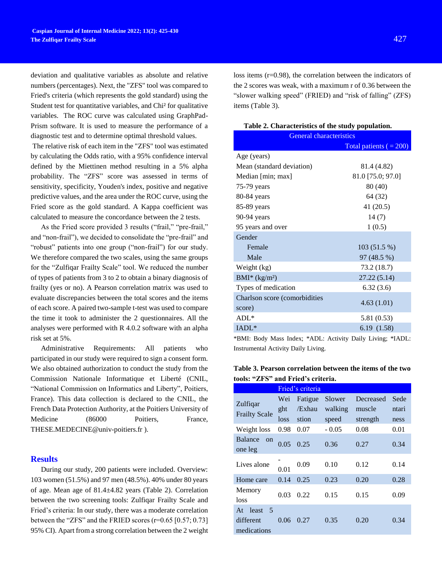deviation and qualitative variables as absolute and relative numbers (percentages). Next, the "ZFS" tool was compared to Fried's criteria (which represents the gold standard) using the Student test for quantitative variables, and Chi² for qualitative variables. The ROC curve was calculated using GraphPad-Prism software. It is used to measure the performance of a diagnostic test and to determine optimal threshold values.

The relative risk of each item in the "ZFS" tool was estimated by calculating the Odds ratio, with a 95% confidence interval defined by the Miettinen method resulting in a 5% alpha probability. The "ZFS" score was assessed in terms of sensitivity, specificity, Youden's index, positive and negative predictive values, and the area under the ROC curve, using the Fried score as the gold standard. A Kappa coefficient was calculated to measure the concordance between the 2 tests.

As the Fried score provided 3 results ("frail," "pre-frail," and "non-frail"), we decided to consolidate the "pre-frail" and "robust" patients into one group ("non-frail") for our study. We therefore compared the two scales, using the same groups for the "Zulfiqar Frailty Scale" tool. We reduced the number of types of patients from 3 to 2 to obtain a binary diagnosis of frailty (yes or no). A Pearson correlation matrix was used to evaluate discrepancies between the total scores and the items of each score. A paired two-sample t-test was used to compare the time it took to administer the 2 questionnaires. All the analyses were performed with R 4.0.2 software with an alpha risk set at 5%.

Administrative Requirements: All patients who participated in our study were required to sign a consent form. We also obtained authorization to conduct the study from the Commission Nationale Informatique et Liberté (CNIL, "National Commission on Informatics and Liberty", Poitiers, France). This data collection is declared to the CNIL, the French Data Protection Authority, at the Poitiers University of Medicine (86000 Poitiers, France, [THESE.MEDECINE@univ-poitiers.fr](mailto:THESE.MEDECINE@univ-poitiers.fr) ).

### **Results**

During our study, 200 patients were included. Overview: 103 women (51.5%) and 97 men (48.5%). 40% under 80 years of age. Mean age of 81.4±4.82 years (Table 2). Correlation between the two screening tools: Zulfiqar Frailty Scale and Fried's criteria: In our study, there was a moderate correlation between the "ZFS" and the FRIED scores (r=0.65 [0.57; 0.73] 95% CI). Apart from a strong correlation between the 2 weight loss items (r=0.98), the correlation between the indicators of the 2 scores was weak, with a maximum r of 0.36 between the "slower walking speed" (FRIED) and "risk of falling" (ZFS) items (Table 3).

#### **Table 2. Characteristics of the study population.**

| .<br><b>General characteristics</b>     |                           |  |  |  |
|-----------------------------------------|---------------------------|--|--|--|
|                                         | Total patients $( = 200)$ |  |  |  |
| Age (years)                             |                           |  |  |  |
| Mean (standard deviation)               | 81.4 (4.82)               |  |  |  |
| Median [min; max]                       | 81.0 [75.0; 97.0]         |  |  |  |
| 75-79 years                             | 80 (40)                   |  |  |  |
| 80-84 years                             | 64 (32)                   |  |  |  |
| 85-89 years                             | 41 (20.5)                 |  |  |  |
| 90-94 years                             | 14(7)                     |  |  |  |
| 95 years and over                       | 1(0.5)                    |  |  |  |
| Gender                                  |                           |  |  |  |
| Female                                  | 103 (51.5 %)              |  |  |  |
| Male                                    | 97 (48.5 %)               |  |  |  |
| Weight (kg)                             | 73.2 (18.7)               |  |  |  |
| $BMI^*(kg/m^2)$                         | 27.22 (5.14)              |  |  |  |
| Types of medication                     | 6.32(3.6)                 |  |  |  |
| Charlson score (comorbidities<br>score) | 4.63(1.01)                |  |  |  |
| $ADL*$                                  | 5.81 (0.53)               |  |  |  |
| $IADL^*$                                | 6.19 (1.58)               |  |  |  |

\*BMI: Body Mass Index; \*ADL: Activity Daily Living; \*IADL: Instrumental Activity Daily Living.

|  | Table 3. Pearson correlation between the items of the two |  |  |
|--|-----------------------------------------------------------|--|--|
|  | tools: "ZFS" and Fried's criteria.                        |  |  |

|                                              | Fried's criteria |         |         |           |       |
|----------------------------------------------|------------------|---------|---------|-----------|-------|
|                                              | Wei              | Fatigue | Slower  | Decreased | Sede  |
| Zulfiqar                                     | ght              | /Exhau  | walking | muscle    | ntari |
| <b>Frailty Scale</b>                         | loss             | stion   | speed   | strength  | ness  |
| Weight loss                                  | 0.98             | 0.07    | $-0.05$ | 0.08      | 0.01  |
| Balance<br>$\alpha$<br>one leg               | 0.05             | 0.25    | 0.36    | 0.27      | 0.34  |
| Lives alone                                  | 0.01             | 0.09    | 0.10    | 0.12      | 0.14  |
| Home care                                    | 0.14             | 0.25    | 0.23    | 0.20      | 0.28  |
| Memory<br>loss                               | 0.03             | 0.22    | 0.15    | 0.15      | 0.09  |
| 5<br>least<br>At<br>different<br>medications | 0.06             | 0.27    | 0.35    | 0.20      | 0.34  |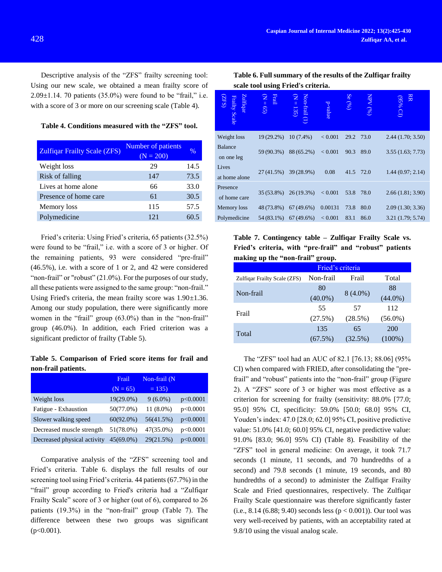Descriptive analysis of the "ZFS" frailty screening tool: Using our new scale, we obtained a mean frailty score of  $2.09\pm1.14$ . 70 patients (35.0%) were found to be "frail," i.e. with a score of 3 or more on our screening scale (Table 4).

| Table 4. Conditions measured with the "ZFS" tool. |  |  |  |
|---------------------------------------------------|--|--|--|
|---------------------------------------------------|--|--|--|

| <b>Zulfiqar Frailty Scale (ZFS)</b> | Number of patients<br>$(N = 200)$ | $\%$ |
|-------------------------------------|-----------------------------------|------|
| Weight loss                         | 29                                | 14.5 |
| Risk of falling                     | 147                               | 73.5 |
| Lives at home alone                 | 66                                | 33.0 |
| Presence of home care               | 61                                | 30.5 |
| Memory loss                         | 115                               | 57.5 |
| Polymedicine                        | 121                               | 60.5 |

Fried's criteria: Using Fried's criteria, 65 patients (32.5%) were found to be "frail," i.e. with a score of 3 or higher. Of the remaining patients, 93 were considered "pre-frail" (46.5%), i.e. with a score of 1 or 2, and 42 were considered "non-frail" or "robust" (21.0%). For the purposes of our study, all these patients were assigned to the same group: "non-frail." Using Fried's criteria, the mean frailty score was 1.90*±*1.36. Among our study population, there were significantly more women in the "frail" group (63.0%) than in the "non-frail" group (46.0%). In addition, each Fried criterion was a significant predictor of frailty (Table 5).

**Table 5. Comparison of Fried score items for frail and non-frail patients.**

|                             | Frail        | Non-frail (N |          |
|-----------------------------|--------------|--------------|----------|
|                             | $(N = 65)$   | $= 135$      |          |
| Weight loss                 | 19(29.0%)    | $9(6.0\%)$   | p<0.0001 |
| Fatigue - Exhaustion        | 50(77.0%)    | 11 (8.0%)    | p<0.0001 |
| Slower walking speed        | $60(92.0\%)$ | 56(41.5%)    | p<0.0001 |
| Decreased muscle strength   | 51(78.0%)    | 47(35.0%)    | p<0.0001 |
| Decreased physical activity | $45(69.0\%)$ | 29(21.5%)    | p<0.0001 |

Comparative analysis of the "ZFS" screening tool and Fried's criteria. Table 6. displays the full results of our screening tool using Fried's criteria. 44 patients (67.7%) in the "frail" group according to Fried's criteria had a "Zulfiqar Frailty Scale" score of 3 or higher (out of 6), compared to 26 patients (19.3%) in the "non-frail" group (Table 7). The difference between these two groups was significant  $(p<0.001)$ .

**Table 6. Full summary of the results of the Zulfiqar frailty scale tool using Fried's criteria.**

| Zulfiqar<br><b>ZFS</b><br><b>Frailty Scale</b> | $N = 65$<br>Frail | Non-<br>$\mathbf{z}$<br>Eail<br>135) | p-value        | Se<br>(96) | $(96)$ AdN | RR<br>$^{96}$ S6)<br>$\Omega$ |
|------------------------------------------------|-------------------|--------------------------------------|----------------|------------|------------|-------------------------------|
| Weight loss                                    | $19(29.2\%)$      | $10(7.4\%)$                          | < 0.001        | 29.2       | 73.0       | 2.44(1.70; 3.50)              |
| <b>Balance</b><br>on one leg                   | 59 (90.3%)        | 88 (65.2%)                           | < 0.001        | 90.3       | 89.0       | 3.55(1.63; 7.73)              |
| Lives<br>at home alone                         | 27(41.5%)         | 39 (28.9%)                           | 0.08           | 41.5       | 72.0       | 1.44(0.97; 2.14)              |
| Presence<br>of home care                       | $35(53.8\%)$      | $26(19.3\%)$                         | < 0.001        | 53.8       | 78.0       | 2.66(1.81; 3.90)              |
| Memory loss                                    | 48 (73.8%)        | $67(49.6\%)$                         | 0.00131        | 73.8       | 80.0       | 2.09(1.30; 3.36)              |
| Polymedicine                                   |                   | 54 (83.1%) 67 (49.6%)                | ${}_{< 0.001}$ | 83.1       | 86.0       | 3.21(1.79; 5.74)              |

**Table 7. Contingency table – Zulfiqar Frailty Scale vs. Fried's criteria, with "pre-frail" and "robust" patients making up the "non-frail" group.**

| Fried's criteria         |  |  |  |  |
|--------------------------|--|--|--|--|
| Total                    |  |  |  |  |
| 88                       |  |  |  |  |
| $8(4.0\%)$<br>$(44.0\%)$ |  |  |  |  |
| 112                      |  |  |  |  |
| (28.5%)<br>$(56.0\%)$    |  |  |  |  |
| 200                      |  |  |  |  |
| $(32.5\%)$<br>$(100\%)$  |  |  |  |  |
|                          |  |  |  |  |

The "ZFS" tool had an AUC of 82.1 [76.13; 88.06] (95% CI) when compared with FRIED, after consolidating the "prefrail" and "robust" patients into the "non-frail" group (Figure 2). A "ZFS" score of 3 or higher was most effective as a criterion for screening for frailty (sensitivity: 88.0% [77.0; 95.0] 95% CI, specificity: 59.0% [50.0; 68.0] 95% CI, Youden's index: 47.0 [28.0; 62.0] 95% CI, positive predictive value: 51.0% [41.0; 60.0] 95% CI, negative predictive value: 91.0% [83.0; 96.0] 95% CI) (Table 8). Feasibility of the "ZFS" tool in general medicine: On average, it took 71.7 seconds (1 minute, 11 seconds, and 70 hundredths of a second) and 79.8 seconds (1 minute, 19 seconds, and 80 hundredths of a second) to administer the Zulfiqar Frailty Scale and Fried questionnaires, respectively. The Zulfiqar Frailty Scale questionnaire was therefore significantly faster (i.e.,  $8.14$  (6.88;  $9.40$ ) seconds less ( $p < 0.001$ )). Our tool was very well-received by patients, with an acceptability rated at 9.8/10 using the visual analog scale.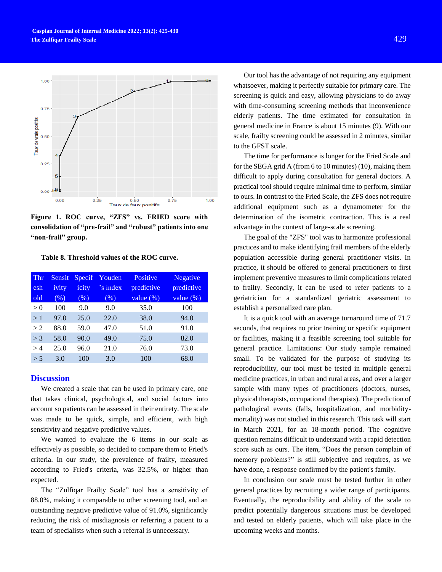

**Figure 1. ROC curve, "ZFS" vs. FRIED score with consolidation of "pre-frail" and "robust" patients into one "non-frail" group.**

**Table 8. Threshold values of the ROC curve.**

| Thr<br>esh<br>old | Sensit <sub>1</sub><br>ivity<br>(% ) | Specif<br>icity<br>(% ) | Youden<br>'s index<br>(% ) | <b>Positive</b><br>predictive<br>value $(\%)$ | <b>Negative</b><br>predictive<br>value $(\%)$ |
|-------------------|--------------------------------------|-------------------------|----------------------------|-----------------------------------------------|-----------------------------------------------|
| > 0               | 100                                  | 9.0                     | 9.0                        | 35.0                                          | 100                                           |
| >1                | 97.0                                 | 25.0                    | 22.0                       | 38.0                                          | 94.0                                          |
| >2                | 88.0                                 | 59.0                    | 47.0                       | 51.0                                          | 91.0                                          |
| $>$ 3             | 58.0                                 | 90.0                    | 49.0                       | 75.0                                          | 82.0                                          |
| >4                | 25.0                                 | 96.0                    | 21.0                       | 76.0                                          | 73.0                                          |
| > 5               | 3.0                                  | 100                     | 3.0                        | 100                                           | 68.0                                          |

## **Discussion**

We created a scale that can be used in primary care, one that takes clinical, psychological, and social factors into account so patients can be assessed in their entirety. The scale was made to be quick, simple, and efficient, with high sensitivity and negative predictive values.

We wanted to evaluate the 6 items in our scale as effectively as possible, so decided to compare them to Fried's criteria. In our study, the prevalence of frailty, measured according to Fried's criteria, was 32.5%, or higher than expected.

The "Zulfiqar Frailty Scale" tool has a sensitivity of 88.0%, making it comparable to other screening tool, and an outstanding negative predictive value of 91.0%, significantly reducing the risk of misdiagnosis or referring a patient to a team of specialists when such a referral is unnecessary.

Our tool has the advantage of not requiring any equipment whatsoever, making it perfectly suitable for primary care. The screening is quick and easy, allowing physicians to do away with time-consuming screening methods that inconvenience elderly patients. The time estimated for consultation in general medicine in France is about 15 minutes (9). With our scale, frailty screening could be assessed in 2 minutes, similar to the GFST scale.

The time for performance is longer for the Fried Scale and for the SEGA grid A (from 6 to 10 minutes) (10), making them difficult to apply during consultation for general doctors. A practical tool should require minimal time to perform, similar to ours. In contrast to the Fried Scale, the ZFS does not require additional equipment such as a dynamometer for the determination of the isometric contraction. This is a real advantage in the context of large-scale screening.

The goal of the "ZFS" tool was to harmonize professional practices and to make identifying frail members of the elderly population accessible during general practitioner visits. In practice, it should be offered to general practitioners to first implement preventive measures to limit complications related to frailty. Secondly, it can be used to refer patients to a geriatrician for a standardized geriatric assessment to establish a personalized care plan.

It is a quick tool with an average turnaround time of 71.7 seconds, that requires no prior training or specific equipment or facilities, making it a feasible screening tool suitable for general practice. Limitations: Our study sample remained small. To be validated for the purpose of studying its reproducibility, our tool must be tested in multiple general medicine practices, in urban and rural areas, and over a larger sample with many types of practitioners (doctors, nurses, physical therapists, occupational therapists). The prediction of pathological events (falls, hospitalization, and morbiditymortality) was not studied in this research. This task will start in March 2021, for an 18-month period. The cognitive question remains difficult to understand with a rapid detection score such as ours. The item, "Does the person complain of memory problems?" is still subjective and requires, as we have done, a response confirmed by the patient's family.

In conclusion our scale must be tested further in other general practices by recruiting a wider range of participants. Eventually, the reproducibility and ability of the scale to predict potentially dangerous situations must be developed and tested on elderly patients, which will take place in the upcoming weeks and months.